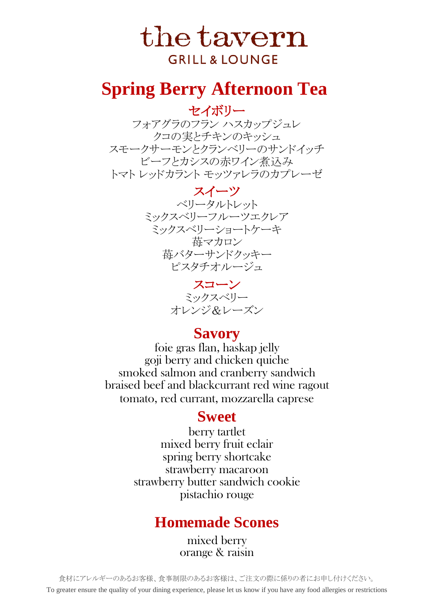To greater ensure the quality of your dining experience, please let us know if you have any food allergies or restrictions 食材にアレルギーのあるお客様、食事制限のあるお客様は、ご注文の際に係りの者にお申し付けください。

セイボリー フォアグラのフラン ハスカップジュレ クコの実とチキンのキッシュ スモークサーモンとクランベリーのサンドイッチ ビーフとカシスの赤ワイン煮込み トマト レッドカラント モッツァレラのカプレーゼ

> スイーツ 苺バターサンドクッキー ベリータルトレット ミックスベリーフルーツエクレア ミックスベリーショートケーキ 苺マカロン ピスタチオルージュ

## **Sweet**

smoked salmon and cranberry sandwich braised beef and blackcurrant red wine ragout foie gras flan, haskap jelly goji berry and chicken quiche tomato, red currant, mozzarella caprese

> mixed berry orange & raisin

# the tavern **GRILL & LOUNGE**

## **Spring Berry Afternoon Tea**

## **Homemade Scones**

strawberry macaroon pistachio rouge strawberry butter sandwich cookie

mixed berry fruit eclair berry tartlet spring berry shortcake

### **Savory**

スコーン オレンジ&レーズン ミックスベリー